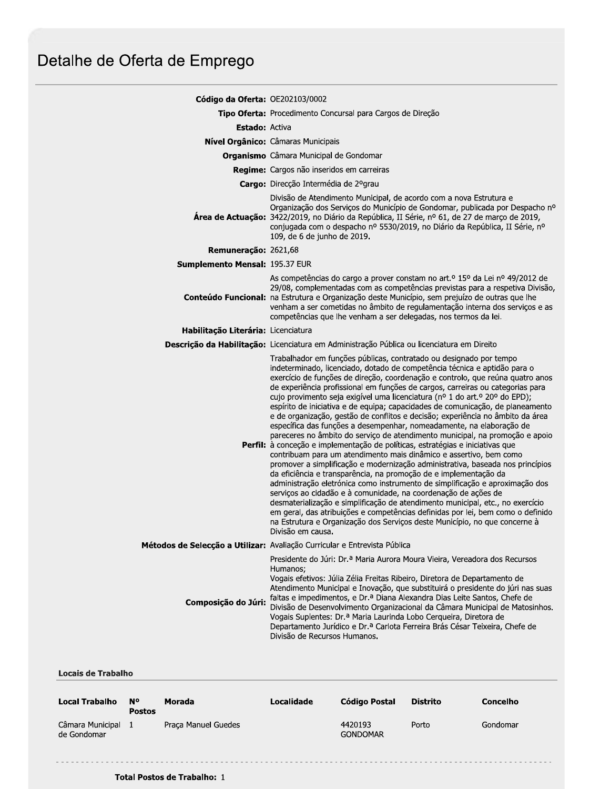# Detalhe de Oferta de Emprego

| Código da Oferta: OE202103/0002     |                                                                                                                                                                                                                                                                                                                                                                                                                                                                                                                                                                                                                                                                                                                                                                                                                                                                                                                                                                                                                                                                                                                                                                                                                                                                                                                                                                                                                                                                       |  |  |  |
|-------------------------------------|-----------------------------------------------------------------------------------------------------------------------------------------------------------------------------------------------------------------------------------------------------------------------------------------------------------------------------------------------------------------------------------------------------------------------------------------------------------------------------------------------------------------------------------------------------------------------------------------------------------------------------------------------------------------------------------------------------------------------------------------------------------------------------------------------------------------------------------------------------------------------------------------------------------------------------------------------------------------------------------------------------------------------------------------------------------------------------------------------------------------------------------------------------------------------------------------------------------------------------------------------------------------------------------------------------------------------------------------------------------------------------------------------------------------------------------------------------------------------|--|--|--|
|                                     | Tipo Oferta: Procedimento Concursal para Cargos de Direção                                                                                                                                                                                                                                                                                                                                                                                                                                                                                                                                                                                                                                                                                                                                                                                                                                                                                                                                                                                                                                                                                                                                                                                                                                                                                                                                                                                                            |  |  |  |
| <b>Estado: Activa</b>               |                                                                                                                                                                                                                                                                                                                                                                                                                                                                                                                                                                                                                                                                                                                                                                                                                                                                                                                                                                                                                                                                                                                                                                                                                                                                                                                                                                                                                                                                       |  |  |  |
|                                     | Nível Orgânico: Câmaras Municipais                                                                                                                                                                                                                                                                                                                                                                                                                                                                                                                                                                                                                                                                                                                                                                                                                                                                                                                                                                                                                                                                                                                                                                                                                                                                                                                                                                                                                                    |  |  |  |
|                                     | <b>Organismo</b> Câmara Municipal de Gondomar                                                                                                                                                                                                                                                                                                                                                                                                                                                                                                                                                                                                                                                                                                                                                                                                                                                                                                                                                                                                                                                                                                                                                                                                                                                                                                                                                                                                                         |  |  |  |
|                                     | Regime: Cargos não inseridos em carreiras                                                                                                                                                                                                                                                                                                                                                                                                                                                                                                                                                                                                                                                                                                                                                                                                                                                                                                                                                                                                                                                                                                                                                                                                                                                                                                                                                                                                                             |  |  |  |
|                                     | Cargo: Direcção Intermédia de 2ºgrau                                                                                                                                                                                                                                                                                                                                                                                                                                                                                                                                                                                                                                                                                                                                                                                                                                                                                                                                                                                                                                                                                                                                                                                                                                                                                                                                                                                                                                  |  |  |  |
|                                     | Divisão de Atendimento Municipal, de acordo com a nova Estrutura e<br>Organização dos Serviços do Município de Gondomar, publicada por Despacho nº<br>Área de Actuação: 3422/2019, no Diário da República, II Série, nº 61, de 27 de março de 2019,<br>conjugada com o despacho nº 5530/2019, no Diário da República, II Série, nº<br>109, de 6 de junho de 2019.                                                                                                                                                                                                                                                                                                                                                                                                                                                                                                                                                                                                                                                                                                                                                                                                                                                                                                                                                                                                                                                                                                     |  |  |  |
| Remuneração: 2621,68                |                                                                                                                                                                                                                                                                                                                                                                                                                                                                                                                                                                                                                                                                                                                                                                                                                                                                                                                                                                                                                                                                                                                                                                                                                                                                                                                                                                                                                                                                       |  |  |  |
| Sumplemento Mensal: 195.37 EUR      |                                                                                                                                                                                                                                                                                                                                                                                                                                                                                                                                                                                                                                                                                                                                                                                                                                                                                                                                                                                                                                                                                                                                                                                                                                                                                                                                                                                                                                                                       |  |  |  |
|                                     | As competências do cargo a prover constam no art. <sup>o</sup> 15º da Lei nº 49/2012 de<br>29/08, complementadas com as competências previstas para a respetiva Divisão,<br>Conteúdo Funcional: na Estrutura e Organização deste Município, sem prejuízo de outras que lhe<br>venham a ser cometidas no âmbito de regulamentação interna dos serviços e as<br>competências que lhe venham a ser delegadas, nos termos da lei.                                                                                                                                                                                                                                                                                                                                                                                                                                                                                                                                                                                                                                                                                                                                                                                                                                                                                                                                                                                                                                         |  |  |  |
| Habilitação Literária: Licenciatura |                                                                                                                                                                                                                                                                                                                                                                                                                                                                                                                                                                                                                                                                                                                                                                                                                                                                                                                                                                                                                                                                                                                                                                                                                                                                                                                                                                                                                                                                       |  |  |  |
|                                     | Descrição da Habilitação: Licenciatura em Administração Pública ou licenciatura em Direito                                                                                                                                                                                                                                                                                                                                                                                                                                                                                                                                                                                                                                                                                                                                                                                                                                                                                                                                                                                                                                                                                                                                                                                                                                                                                                                                                                            |  |  |  |
|                                     | Trabalhador em funções públicas, contratado ou designado por tempo<br>indeterminado, licenciado, dotado de competência técnica e aptidão para o<br>exercício de funções de direção, coordenação e controlo, que reúna quatro anos<br>de experiência profissional em funções de cargos, carreiras ou categorias para<br>cujo provimento seja exigível uma licenciatura (nº 1 do art.º 20º do EPD);<br>espírito de iniciativa e de equipa; capacidades de comunicação, de planeamento<br>e de organização, gestão de conflitos e decisão; experiência no âmbito da área<br>específica das funções a desempenhar, nomeadamente, na elaboração de<br>pareceres no âmbito do serviço de atendimento municipal, na promoção e apoio<br>Perfil: à conceção e implementação de políticas, estratégias e iniciativas que<br>contribuam para um atendimento mais dinâmico e assertivo, bem como<br>promover a simplificação e modernização administrativa, baseada nos princípios<br>da eficiência e transparência, na promoção de e implementação da<br>administração eletrónica como instrumento de simplificação e aproximação dos<br>serviços ao cidadão e à comunidade, na coordenação de ações de<br>desmaterialização e simplificação de atendimento municipal, etc., no exercício<br>em geral, das atribuições e competências definidas por lei, bem como o definido<br>na Estrutura e Organização dos Serviços deste Município, no que concerne à<br>Divisão em causa. |  |  |  |
|                                     | Métodos de Selecção a Utilizar: Avaliação Curricular e Entrevista Pública                                                                                                                                                                                                                                                                                                                                                                                                                                                                                                                                                                                                                                                                                                                                                                                                                                                                                                                                                                                                                                                                                                                                                                                                                                                                                                                                                                                             |  |  |  |
| Composição do Júri:                 | Presidente do Júri: Dr.ª Maria Aurora Moura Vieira, Vereadora dos Recursos<br>Humanos;<br>Vogais efetivos: Júlia Zélia Freitas Ribeiro, Diretora de Departamento de<br>Atendimento Municipal e Inovação, que substituirá o presidente do júri nas suas<br>faltas e impedimentos, e Dr.ª Diana Alexandra Dias Leite Santos, Chefe de<br>Divisão de Desenvolvimento Organizacional da Câmara Municipal de Matosinhos.<br>Vogais Suplentes: Dr.ª Maria Laurinda Lobo Cerqueira, Diretora de<br>Departamento Jurídico e Dr.ª Carlota Ferreira Brás César Teixeira, Chefe de<br>Divisão de Recursos Humanos.                                                                                                                                                                                                                                                                                                                                                                                                                                                                                                                                                                                                                                                                                                                                                                                                                                                               |  |  |  |

**Locais de Trabalho** 

| <b>Local Trabalho</b>           | N°<br><b>Postos</b> | Morada              | Localidade | Código Postal              | <b>Distrito</b> | Concelho |
|---------------------------------|---------------------|---------------------|------------|----------------------------|-----------------|----------|
| Câmara Municipal<br>de Gondomar |                     | Praca Manuel Guedes |            | 4420193<br><b>GONDOMAR</b> | Porto           | Gondomar |

Total Postos de Trabalho: 1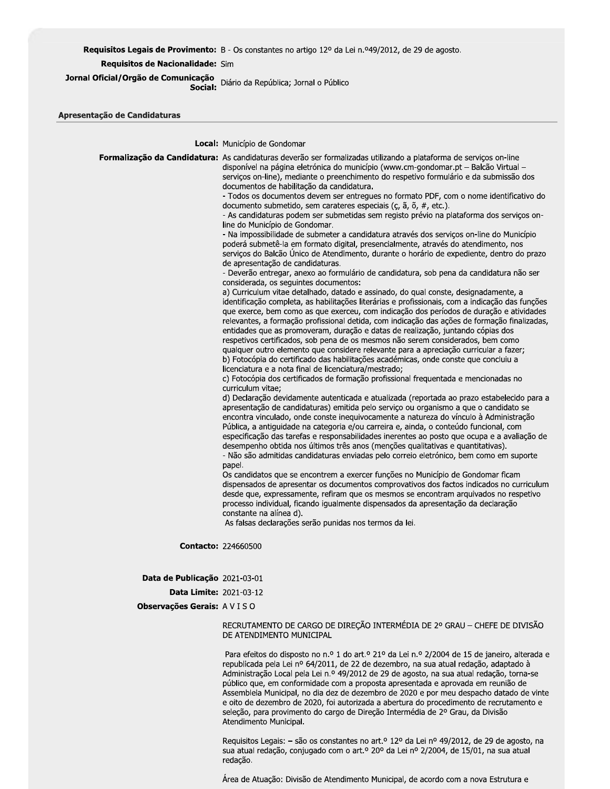## Requisitos Legais de Provimento: B - Os constantes no artigo 12º da Lei n.º49/2012, de 29 de agosto.

Requisitos de Nacionalidade: Sim

Jornal Oficial/Orgão de Comunicação<br>Social: Diário da República; Jornal o Público

Local: Município de Gondomar

|                                   | Formalização da Candidatura: As candidaturas deverão ser formalizadas utilizando a plataforma de serviços on-line<br>disponível na página eletrónica do município (www.cm-gondomar.pt – Balcão Virtual –<br>serviços on-line), mediante o preenchimento do respetivo formulário e da submissão dos<br>documentos de habilitação da candidatura.<br>- Todos os documentos devem ser entregues no formato PDF, com o nome identificativo do<br>documento submetido, sem carateres especiais (ç, ã, õ, #, etc.).<br>- As candidaturas podem ser submetidas sem registo prévio na plataforma dos serviços on-<br>line do Município de Gondomar.<br>- Na impossibilidade de submeter a candidatura através dos serviços on-line do Município<br>poderá submetê-la em formato digital, presencialmente, através do atendimento, nos<br>serviços do Balcão Unico de Atendimento, durante o horário de expediente, dentro do prazo<br>de apresentação de candidaturas.<br>- Deverão entregar, anexo ao formulário de candidatura, sob pena da candidatura não ser<br>considerada, os seguintes documentos:<br>a) Curriculum vitae detalhado, datado e assinado, do qual conste, designadamente, a<br>identificação completa, as habilitações literárias e profissionais, com a indicação das funções<br>que exerce, bem como as que exerceu, com indicação dos períodos de duração e atividades<br>relevantes, a formação profissional detida, com indicação das ações de formação finalizadas,<br>entidades que as promoveram, duração e datas de realização, juntando cópias dos<br>respetivos certificados, sob pena de os mesmos não serem considerados, bem como<br>qualquer outro elemento que considere relevante para a apreciação curricular a fazer;<br>b) Fotocópia do certificado das habilitações académicas, onde conste que concluiu a<br>licenciatura e a nota final de licenciatura/mestrado;<br>c) Fotocópia dos certificados de formação profissional frequentada e mencionadas no<br>curriculum vitae;<br>d) Declaração devidamente autenticada e atualizada (reportada ao prazo estabelecido para a<br>apresentação de candidaturas) emitida pelo serviço ou organismo a que o candidato se<br>encontra vinculado, onde conste inequivocamente a natureza do vínculo à Administração<br>Pública, a antiguidade na categoria e/ou carreira e, ainda, o conteúdo funcional, com<br>especificação das tarefas e responsabilidades inerentes ao posto que ocupa e a avaliação de<br>desempenho obtida nos últimos três anos (menções qualitativas e quantitativas).<br>- Não são admitidas candidaturas enviadas pelo correio eletrónico, bem como em suporte<br>papel.<br>Os candidatos que se encontrem a exercer funções no Município de Gondomar ficam<br>dispensados de apresentar os documentos comprovativos dos factos indicados no curriculum<br>desde que, expressamente, refiram que os mesmos se encontram arquivados no respetivo<br>processo individual, ficando igualmente dispensados da apresentação da declaração<br>constante na alínea d).<br>As falsas declarações serão punidas nos termos da lei. |
|-----------------------------------|-----------------------------------------------------------------------------------------------------------------------------------------------------------------------------------------------------------------------------------------------------------------------------------------------------------------------------------------------------------------------------------------------------------------------------------------------------------------------------------------------------------------------------------------------------------------------------------------------------------------------------------------------------------------------------------------------------------------------------------------------------------------------------------------------------------------------------------------------------------------------------------------------------------------------------------------------------------------------------------------------------------------------------------------------------------------------------------------------------------------------------------------------------------------------------------------------------------------------------------------------------------------------------------------------------------------------------------------------------------------------------------------------------------------------------------------------------------------------------------------------------------------------------------------------------------------------------------------------------------------------------------------------------------------------------------------------------------------------------------------------------------------------------------------------------------------------------------------------------------------------------------------------------------------------------------------------------------------------------------------------------------------------------------------------------------------------------------------------------------------------------------------------------------------------------------------------------------------------------------------------------------------------------------------------------------------------------------------------------------------------------------------------------------------------------------------------------------------------------------------------------------------------------------------------------------------------------------------------------------------------------------------------------------------------------------------------------------------------------------------------------------------------------------------------------------------------------------------------------------------------------------------------------------------------------------------------------------------------------------------------------------------------------------------------------------------------------------------------------------------------------------|
| <b>Contacto: 224660500</b>        |                                                                                                                                                                                                                                                                                                                                                                                                                                                                                                                                                                                                                                                                                                                                                                                                                                                                                                                                                                                                                                                                                                                                                                                                                                                                                                                                                                                                                                                                                                                                                                                                                                                                                                                                                                                                                                                                                                                                                                                                                                                                                                                                                                                                                                                                                                                                                                                                                                                                                                                                                                                                                                                                                                                                                                                                                                                                                                                                                                                                                                                                                                                                   |
| Data de Publicação 2021-03-01     |                                                                                                                                                                                                                                                                                                                                                                                                                                                                                                                                                                                                                                                                                                                                                                                                                                                                                                                                                                                                                                                                                                                                                                                                                                                                                                                                                                                                                                                                                                                                                                                                                                                                                                                                                                                                                                                                                                                                                                                                                                                                                                                                                                                                                                                                                                                                                                                                                                                                                                                                                                                                                                                                                                                                                                                                                                                                                                                                                                                                                                                                                                                                   |
| <b>Data Limite: 2021-03-12</b>    |                                                                                                                                                                                                                                                                                                                                                                                                                                                                                                                                                                                                                                                                                                                                                                                                                                                                                                                                                                                                                                                                                                                                                                                                                                                                                                                                                                                                                                                                                                                                                                                                                                                                                                                                                                                                                                                                                                                                                                                                                                                                                                                                                                                                                                                                                                                                                                                                                                                                                                                                                                                                                                                                                                                                                                                                                                                                                                                                                                                                                                                                                                                                   |
| <b>Observações Gerais: A VISO</b> |                                                                                                                                                                                                                                                                                                                                                                                                                                                                                                                                                                                                                                                                                                                                                                                                                                                                                                                                                                                                                                                                                                                                                                                                                                                                                                                                                                                                                                                                                                                                                                                                                                                                                                                                                                                                                                                                                                                                                                                                                                                                                                                                                                                                                                                                                                                                                                                                                                                                                                                                                                                                                                                                                                                                                                                                                                                                                                                                                                                                                                                                                                                                   |
|                                   | RECRUTAMENTO DE CARGO DE DIREÇÃO INTERMÉDIA DE 2º GRAU - CHEFE DE DIVISÃO<br>DE ATENDIMENTO MUNICIPAL                                                                                                                                                                                                                                                                                                                                                                                                                                                                                                                                                                                                                                                                                                                                                                                                                                                                                                                                                                                                                                                                                                                                                                                                                                                                                                                                                                                                                                                                                                                                                                                                                                                                                                                                                                                                                                                                                                                                                                                                                                                                                                                                                                                                                                                                                                                                                                                                                                                                                                                                                                                                                                                                                                                                                                                                                                                                                                                                                                                                                             |
|                                   | Para efeitos do disposto no n.º 1 do art.º 21º da Lei n.º 2/2004 de 15 de janeiro, alterada e                                                                                                                                                                                                                                                                                                                                                                                                                                                                                                                                                                                                                                                                                                                                                                                                                                                                                                                                                                                                                                                                                                                                                                                                                                                                                                                                                                                                                                                                                                                                                                                                                                                                                                                                                                                                                                                                                                                                                                                                                                                                                                                                                                                                                                                                                                                                                                                                                                                                                                                                                                                                                                                                                                                                                                                                                                                                                                                                                                                                                                     |

republicada pela Lei nº 64/2011, de 22 de dezembro, na sua atual redação, adaptado à Administração Local pela Lei n.º 49/2012 de 29 de agosto, na sua atual redação, torna-se público que, em conformidade com a proposta apresentada e aprovada em reunião de Assembleia Municipal, no dia dez de dezembro de 2020 e por meu despacho datado de vinte e oito de dezembro de 2020, foi autorizada a abertura do procedimento de recrutamento e seleção, para provimento do cargo de Direção Intermédia de 2º Grau, da Divisão Atendimento Municipal.

Requisitos Legais: - são os constantes no art.º 12º da Lei nº 49/2012, de 29 de agosto, na sua atual redação, conjugado com o art.º 20º da Lei nº 2/2004, de 15/01, na sua atual redação.

Área de Atuação: Divisão de Atendimento Municipal, de acordo com a nova Estrutura e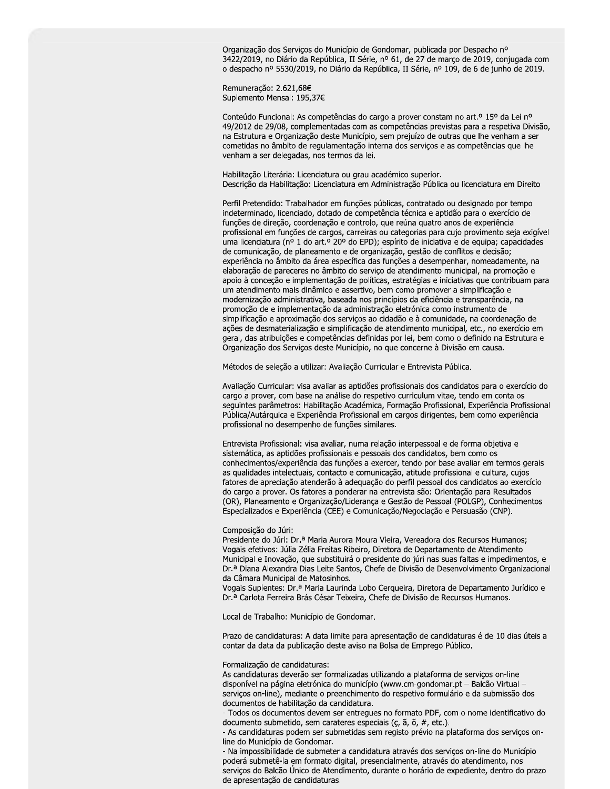Organização dos Serviços do Município de Gondomar, publicada por Despacho nº 3422/2019, no Diário da República, II Série, nº 61, de 27 de março de 2019, conjugada com o despacho nº 5530/2019, no Diário da República, II Série, nº 109, de 6 de junho de 2019.

Remuneração: 2.621,68€ Suplemento Mensal: 195,37€

Conteúdo Funcional: As competências do cargo a prover constam no art.<sup>o</sup> 15<sup>o</sup> da Lei n<sup>o</sup> 49/2012 de 29/08, complementadas com as competências previstas para a respetiva Divisão, na Estrutura e Organização deste Município, sem prejuízo de outras que lhe venham a ser cometidas no âmbito de regulamentação interna dos serviços e as competências que lhe venham a ser delegadas, nos termos da lei.

Habilitação Literária: Licenciatura ou grau académico superior. Descrição da Habilitação: Licenciatura em Administração Pública ou licenciatura em Direito

Perfil Pretendido: Trabalhador em funções públicas, contratado ou designado por tempo indeterminado, licenciado, dotado de competência técnica e aptidão para o exercício de funções de direção, coordenação e controlo, que reúna quatro anos de experiência profissional em funções de cargos, carreiras ou categorias para cujo provimento seja exigível uma licenciatura (nº 1 do art.º 20º do EPD); espírito de iniciativa e de equipa; capacidades de comunicação, de planeamento e de organização, gestão de conflitos e decisão; experiência no âmbito da área específica das funções a desempenhar, nomeadamente, na elaboração de pareceres no âmbito do serviço de atendimento municipal, na promoção e apoio à conceção e implementação de políticas, estratégias e iniciativas que contribuam para um atendimento mais dinâmico e assertivo, bem como promover a simplificação e modernização administrativa, baseada nos princípios da eficiência e transparência, na promoção de e implementação da administração eletrónica como instrumento de simplificação e aproximação dos serviços ao cidadão e à comunidade, na coordenação de ações de desmaterialização e simplificação de atendimento municipal, etc., no exercício em geral, das atribuições e competências definidas por lei, bem como o definido na Estrutura e Organização dos Serviços deste Município, no que concerne à Divisão em causa.

Métodos de seleção a utilizar: Avaliação Curricular e Entrevista Pública.

Avaliação Curricular: visa avaliar as aptidões profissionais dos candidatos para o exercício do cargo a prover, com base na análise do respetivo curriculum vitae, tendo em conta os sequintes parâmetros: Habilitação Académica, Formação Profissional, Experiência Profissional Pública/Autárquica e Experiência Profissional em cargos dirigentes, bem como experiência profissional no desempenho de funções similares.

Entrevista Profissional: visa avaliar, numa relação interpessoal e de forma objetiva e sistemática, as aptidões profissionais e pessoais dos candidatos, bem como os conhecimentos/experiência das funções a exercer, tendo por base avaliar em termos gerais as qualidades intelectuais, contacto e comunicação, atitude profissional e cultura, cujos fatores de apreciação atenderão à adequação do perfil pessoal dos candidatos ao exercício do cargo a prover. Os fatores a ponderar na entrevista são: Orientação para Resultados (OR), Planeamento e Organização/Liderança e Gestão de Pessoal (POLGP), Conhecimentos Especializados e Experiência (CEE) e Comunicação/Negociação e Persuasão (CNP).

#### Composição do Júri:

Presidente do Júri: Dr.<sup>a</sup> Maria Aurora Moura Vieira, Vereadora dos Recursos Humanos; Vogais efetivos: Júlia Zélia Freitas Ribeiro, Diretora de Departamento de Atendimento Municipal e Inovação, que substituirá o presidente do júri nas suas faltas e impedimentos, e Dr.ª Diana Alexandra Dias Leite Santos, Chefe de Divisão de Desenvolvimento Organizacional da Câmara Municipal de Matosinhos.

Vogais Suplentes: Dr.ª Maria Laurinda Lobo Cerqueira, Diretora de Departamento Jurídico e Dr.ª Carlota Ferreira Brás César Teixeira, Chefe de Divisão de Recursos Humanos.

Local de Trabalho: Município de Gondomar.

Prazo de candidaturas: A data limite para apresentação de candidaturas é de 10 dias úteis a contar da data da publicação deste aviso na Bolsa de Emprego Público.

#### Formalização de candidaturas:

As candidaturas deverão ser formalizadas utilizando a plataforma de serviços on-line disponível na página eletrónica do município (www.cm-gondomar.pt - Balcão Virtual serviços on-line), mediante o preenchimento do respetivo formulário e da submissão dos documentos de habilitação da candidatura.

- Todos os documentos devem ser entregues no formato PDF, com o nome identificativo do documento submetido, sem carateres especiais (ç, ã, õ, #, etc.).

- As candidaturas podem ser submetidas sem registo prévio na plataforma dos serviços online do Município de Gondomar.

- Na impossibilidade de submeter a candidatura através dos serviços on-line do Município poderá submetê-la em formato digital, presencialmente, através do atendimento, nos serviços do Balcão Único de Atendimento, durante o horário de expediente, dentro do prazo de apresentação de candidaturas.